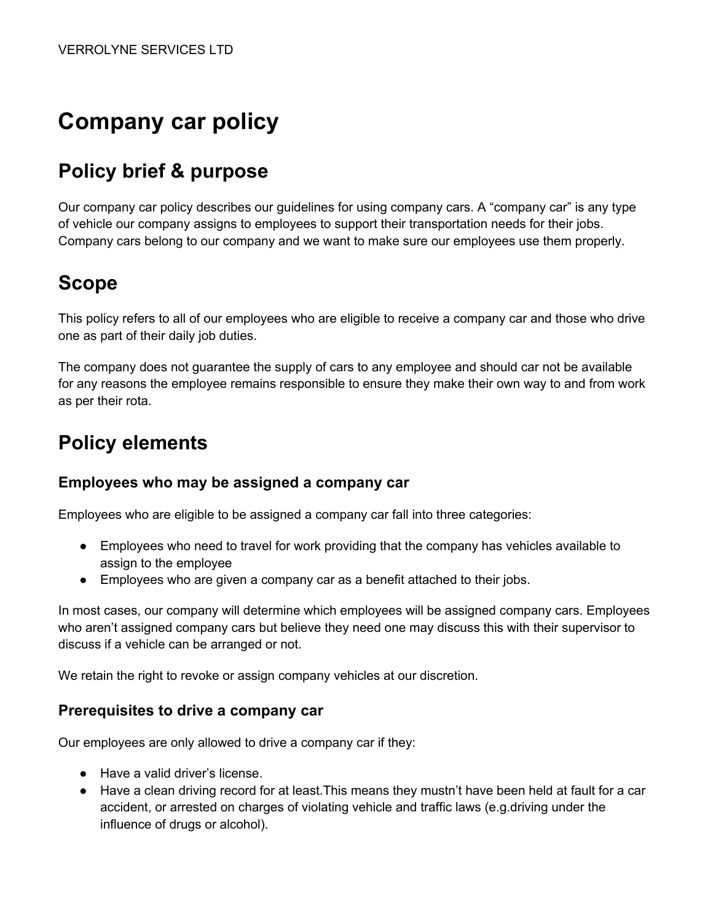# **Company car policy**

## **Policy brief & purpose**

Our company car policy describes our guidelines for using company cars. A "company car" is any type of vehicle our company assigns to employees to support their transportation needs for their jobs. Company cars belong to our company and we want to make sure our employees use them properly.

## **Scope**

This policy refers to all of our employees who are eligible to receive a company car and those who drive one as part of their daily job duties.

The company does not guarantee the supply of cars to any employee and should car not be available for any reasons the employee remains responsible to ensure they make their own way to and from work as per their rota.

### **Policy elements**

#### **Employees who may be assigned a company car**

Employees who are eligible to be assigned a company car fall into three categories:

- Employees who need to travel for work providing that the company has vehicles available to assign to the employee
- Employees who are given a company car as a benefit attached to their jobs.

In most cases, our company will determine which employees will be assigned company cars. Employees who aren't assigned company cars but believe they need one may discuss this with their supervisor to discuss if a vehicle can be arranged or not.

We retain the right to revoke or assign company vehicles at our discretion.

#### **Prerequisites to drive a company car**

Our employees are only allowed to drive a company car if they:

- Have a valid driver's license.
- Have a clean driving record for at least.This means they mustn't have been held at fault for a car accident, or arrested on charges of violating vehicle and traffic laws (e.g.driving under the influence of drugs or alcohol).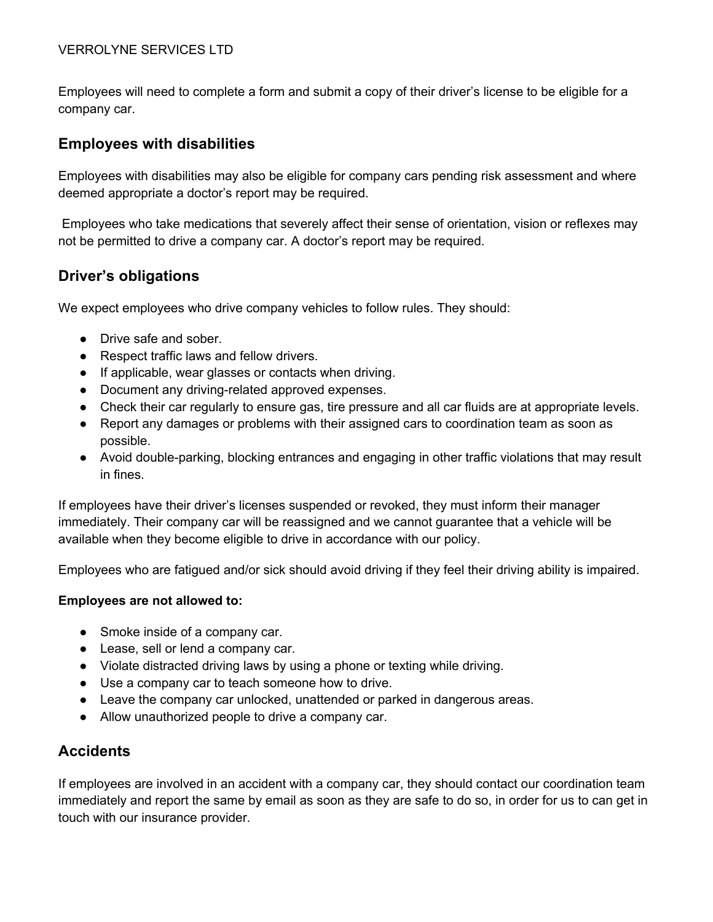Employees will need to complete a form and submit a copy of their driver's license to be eligible for a company car.

### **Employees with disabilities**

Employees with disabilities may also be eligible for company cars pending risk assessment and where deemed appropriate a doctor's report may be required.

Employees who take medications that severely affect their sense of orientation, vision or reflexes may not be permitted to drive a company car. A doctor's report may be required.

### **Driver's obligations**

We expect employees who drive company vehicles to follow rules. They should:

- Drive safe and sober.
- Respect traffic laws and fellow drivers.
- If applicable, wear glasses or contacts when driving.
- Document any driving-related approved expenses.
- Check their car regularly to ensure gas, tire pressure and all car fluids are at appropriate levels.
- Report any damages or problems with their assigned cars to coordination team as soon as possible.
- Avoid double-parking, blocking entrances and engaging in other traffic violations that may result in fines.

If employees have their driver's licenses suspended or revoked, they must inform their manager immediately. Their company car will be reassigned and we cannot guarantee that a vehicle will be available when they become eligible to drive in accordance with our policy.

Employees who are fatigued and/or sick should avoid driving if they feel their driving ability is impaired.

#### **Employees are not allowed to:**

- Smoke inside of a company car.
- Lease, sell or lend a company car.
- Violate distracted driving laws by using a phone or texting while driving.
- Use a company car to teach someone how to drive.
- Leave the company car unlocked, unattended or parked in dangerous areas.
- Allow unauthorized people to drive a company car.

### **Accidents**

If employees are involved in an accident with a company car, they should contact our coordination team immediately and report the same by email as soon as they are safe to do so, in order for us to can get in touch with our insurance provider.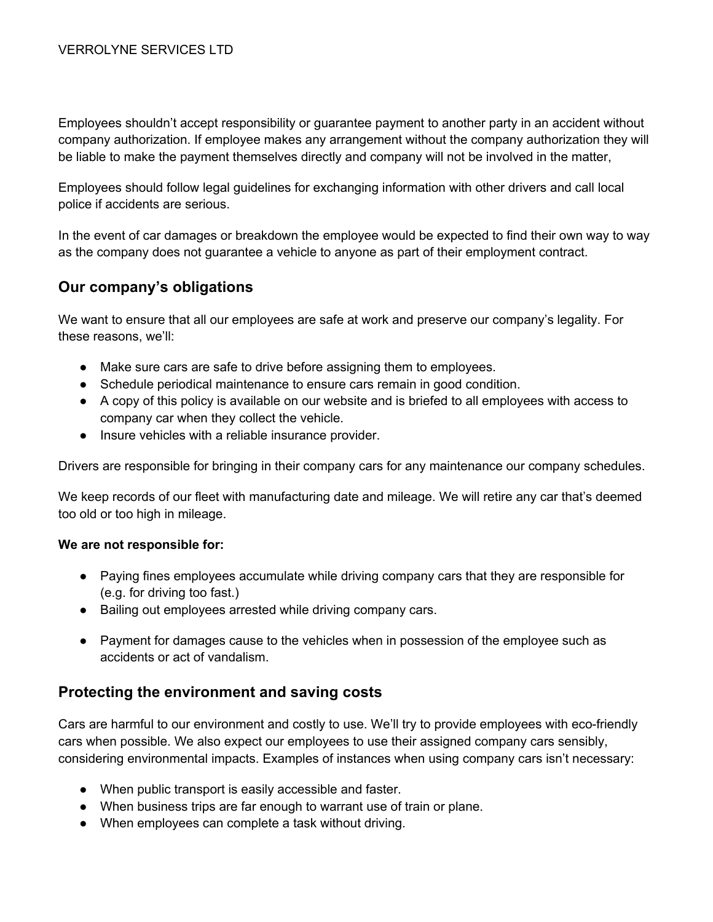Employees shouldn't accept responsibility or guarantee payment to another party in an accident without company authorization. If employee makes any arrangement without the company authorization they will be liable to make the payment themselves directly and company will not be involved in the matter,

Employees should follow legal guidelines for exchanging information with other drivers and call local police if accidents are serious.

In the event of car damages or breakdown the employee would be expected to find their own way to way as the company does not guarantee a vehicle to anyone as part of their employment contract.

### **Our company's obligations**

We want to ensure that all our employees are safe at work and preserve our company's legality. For these reasons, we'll:

- Make sure cars are safe to drive before assigning them to employees.
- Schedule periodical maintenance to ensure cars remain in good condition.
- A copy of this policy is available on our website and is briefed to all employees with access to company car when they collect the vehicle.
- Insure vehicles with a reliable insurance provider.

Drivers are responsible for bringing in their company cars for any maintenance our company schedules.

We keep records of our fleet with manufacturing date and mileage. We will retire any car that's deemed too old or too high in mileage.

#### **We are not responsible for:**

- Paying fines employees accumulate while driving company cars that they are responsible for (e.g. for driving too fast.)
- Bailing out employees arrested while driving company cars.
- Payment for damages cause to the vehicles when in possession of the employee such as accidents or act of vandalism.

#### **Protecting the environment and saving costs**

Cars are harmful to our environment and costly to use. We'll try to provide employees with eco-friendly cars when possible. We also expect our employees to use their assigned company cars sensibly, considering environmental impacts. Examples of instances when using company cars isn't necessary:

- When public transport is easily accessible and faster.
- When business trips are far enough to warrant use of train or plane.
- When employees can complete a task without driving.